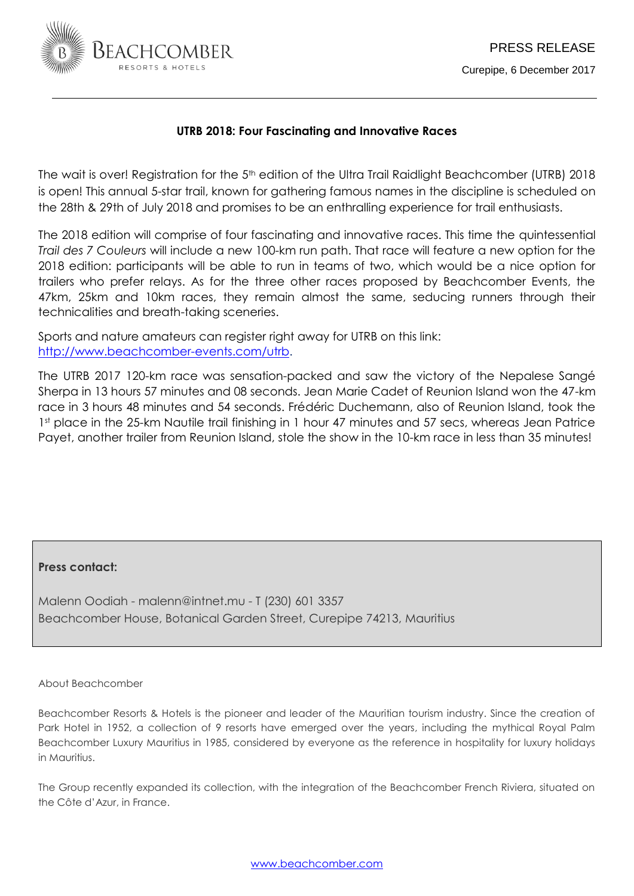

# **UTRB 2018: Four Fascinating and Innovative Races**

The wait is over! Registration for the 5<sup>th</sup> edition of the Ultra Trail Raidlight Beachcomber (UTRB) 2018 is open! This annual 5-star trail, known for gathering famous names in the discipline is scheduled on the 28th & 29th of July 2018 and promises to be an enthralling experience for trail enthusiasts.

The 2018 edition will comprise of four fascinating and innovative races. This time the quintessential *Trail des 7 Couleurs* will include a new 100-km run path. That race will feature a new option for the 2018 edition: participants will be able to run in teams of two, which would be a nice option for trailers who prefer relays. As for the three other races proposed by Beachcomber Events, the 47km, 25km and 10km races, they remain almost the same, seducing runners through their technicalities and breath-taking sceneries.

Sports and nature amateurs can register right away for UTRB on this link: [http://www.beachcomber-events.com/utrb.](http://www.beachcomber-events.com/utrb)

The UTRB 2017 120-km race was sensation-packed and saw the victory of the Nepalese Sangé Sherpa in 13 hours 57 minutes and 08 seconds. Jean Marie Cadet of Reunion Island won the 47-km race in 3 hours 48 minutes and 54 seconds. Frédéric Duchemann, also of Reunion Island, took the 1st place in the 25-km Nautile trail finishing in 1 hour 47 minutes and 57 secs, whereas Jean Patrice Payet, another trailer from Reunion Island, stole the show in the 10-km race in less than 35 minutes!

## **Press contact:**

Malenn Oodiah - malenn@intnet.mu - T (230) 601 3357 Beachcomber House, Botanical Garden Street, Curepipe 74213, Mauritius

### About Beachcomber

Beachcomber Resorts & Hotels is the pioneer and leader of the Mauritian tourism industry. Since the creation of Park Hotel in 1952, a collection of 9 resorts have emerged over the years, including the mythical Royal Palm Beachcomber Luxury Mauritius in 1985, considered by everyone as the reference in hospitality for luxury holidays in Mauritius.

The Group recently expanded its collection, with the integration of the Beachcomber French Riviera, situated on the Côte d'Azur, in France.